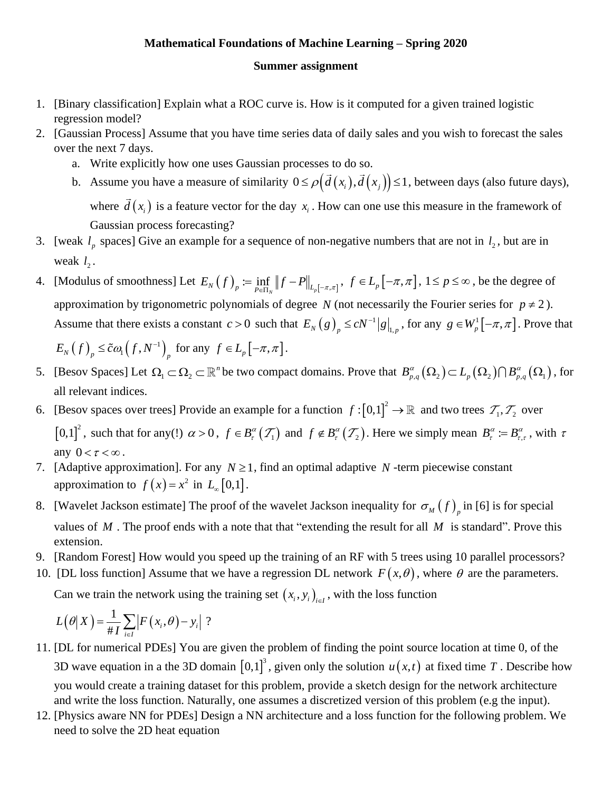## **Mathematical Foundations of Machine Learning – Spring 2020**

**Summer assignment** 

- 1. [Binary classification] Explain what a ROC curve is. How is it computed for a given trained logistic regression model?
- 2. [Gaussian Process] Assume that you have time series data of daily sales and you wish to forecast the sales over the next 7 days.
	- a. Write explicitly how one uses Gaussian processes to do so.
	- b. Assume you have a measure of similarity  $0 \le \rho \big(\vec{d}(x_i), \vec{d}(x_j)\big) \le 1$ , between days (also future days), where  $d(x_i)$  is a feature vector for the day  $x_i$ . How can one use this measure in the framework of Gaussian process forecasting?
- 3. [weak  $l_p$  spaces] Give an example for a sequence of non-negative numbers that are not in  $l_2$ , but are in weak  $l_2$ .
- 4. [Modulus of smoothness] Let  $E_N(f)_p := \inf_{P \in \Pi_N} ||f P||_{L_p[-\pi,\pi]}$ ,  $f \in L_p[-\pi,\pi]$ ,  $1 \le p \le \infty$ , be the degree of approximation by trigonometric polynomials of degree N (not necessarily the Fourier series for  $p \neq 2$ ). Assume that there exists a constant  $c > 0$  such that  $E_N(g)$   $\leq cN^{-1}$  $E_N(g)_{p} \le cN^{-1} |g|_{1,p}$ , for any  $g \in W_p^1[-\pi, \pi]$ . Prove that

$$
E_N(f)_p \leq \tilde{c}\omega_1(f, N^{-1})_p \text{ for any } f \in L_p[-\pi, \pi].
$$

- 5. [Besov Spaces] Let  $\Omega_1 \subset \Omega_2 \subset \mathbb{R}^n$  be two compact domains. Prove that  $B_{p,q}^{\alpha}(\Omega_2) \subset L_p(\Omega_2) \cap B_{p,q}^{\alpha}(\Omega_1)$ , for all relevant indices.
- 6. [Besov spaces over trees] Provide an example for a function  $f: [0,1]^2 \to \mathbb{R}$  and two trees  $\mathcal{T}_1, \mathcal{T}_2$  over  $[0,1]^2$ , such that for any(!)  $\alpha > 0$ ,  $f \in B_r^{\alpha}(\mathcal{T}_1)$  and  $f \notin B_r^{\alpha}(\mathcal{T}_2)$ . Here we simply mean  $B_r^{\alpha} := B_r^{\alpha}$ .  $B_{\tau}^{\alpha} := B_{\tau,\tau}^{\alpha}$ , with  $\tau$ any  $0 < \tau < \infty$ .
- 7. [Adaptive approximation]. For any  $N \ge 1$ , find an optimal adaptive N -term piecewise constant approximation to  $f(x) = x^2$  in  $L_{\infty}[0,1]$ .
- 8. [Wavelet Jackson estimate] The proof of the wavelet Jackson inequality for  $\sigma_M(f)$ <sub>*p*</sub> in [6] is for special values of  $M$ . The proof ends with a note that that "extending the result for all  $M$  is standard". Prove this extension.
- 9. [Random Forest] How would you speed up the training of an RF with 5 trees using 10 parallel processors?
- 10. [DL loss function] Assume that we have a regression DL network  $F(x, \theta)$ , where  $\theta$  are the parameters. Can we train the network using the training set  $(x_i, y_i)_{i \in I}$ , with the loss function

$$
L(\theta|X) = \frac{1}{\#I} \sum_{i \in I} |F(x_i, \theta) - y_i|?
$$

- 11. [DL for numerical PDEs] You are given the problem of finding the point source location at time 0, of the 3D wave equation in a the 3D domain  $[0,1]^3$ , given only the solution  $u(x,t)$  at fixed time T. Describe how you would create a training dataset for this problem, provide a sketch design for the network architecture and write the loss function. Naturally, one assumes a discretized version of this problem (e.g the input).
- 12. [Physics aware NN for PDEs] Design a NN architecture and a loss function for the following problem. We need to solve the 2D heat equation